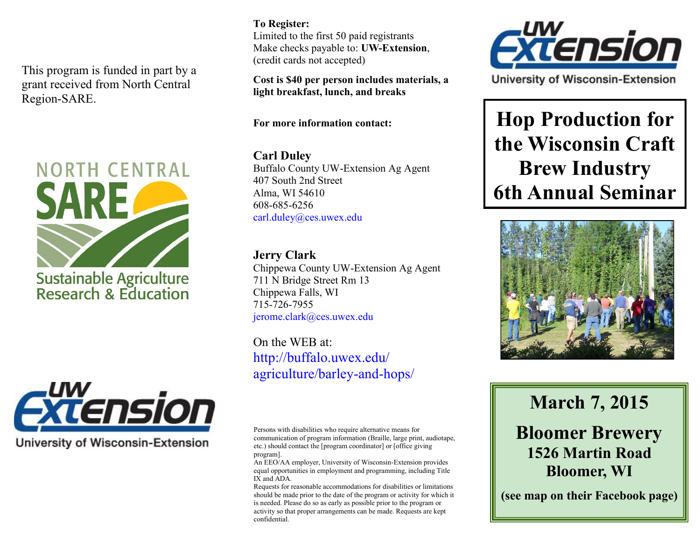This program is funded in part by a grant received from North Central Region-SARE.





**University of Wisconsin-Extension** 

#### **To Register:**  Limited to the first 50 paid registrants Make checks payable to: **UW-Extension**, (credit cards not accepted)

**Cost is \$40 per person includes materials, a light breakfast, lunch, and breaks**

**For more information contact:** 

### **Carl Duley**

Buffalo County UW-Extension Ag Agent 407 South 2nd Street Alma, WI 54610 608-685-6256 carl.duley@ces.uwex.edu

### **Jerry Clark**

Chippewa County UW-Extension Ag Agent 711 N Bridge Street Rm 13 Chippewa Falls, WI 715-726-7955 jerome.clark@ces.uwex.edu

On the WEB at: http://buffalo.uwex.edu/ agriculture/barley-and-hops/

Persons with disabilities who require alternative means for communication of program information (Braille, large print, audiotape, etc.) should contact the [program coordinator] or [office giving program].

An EEO/AA employer, University of Wisconsin-Extension provides equal opportunities in employment and programming, including Title IX and ADA.

Requests for reasonable accommodations for disabilities or limitations should be made prior to the date of the program or activity for which it is needed. Please do so as early as possible prior to the program or activity so that proper arrangements can be made. Requests are kept confidential.



University of Wisconsin-Extension

# **Hop Production for the Wisconsin Craft Brew Industry 6th Annual Seminar**



# **March 7, 2015**

## **Bloomer Brewery 1526 Martin Road Bloomer, WI**

**(see map on their Facebook page)**